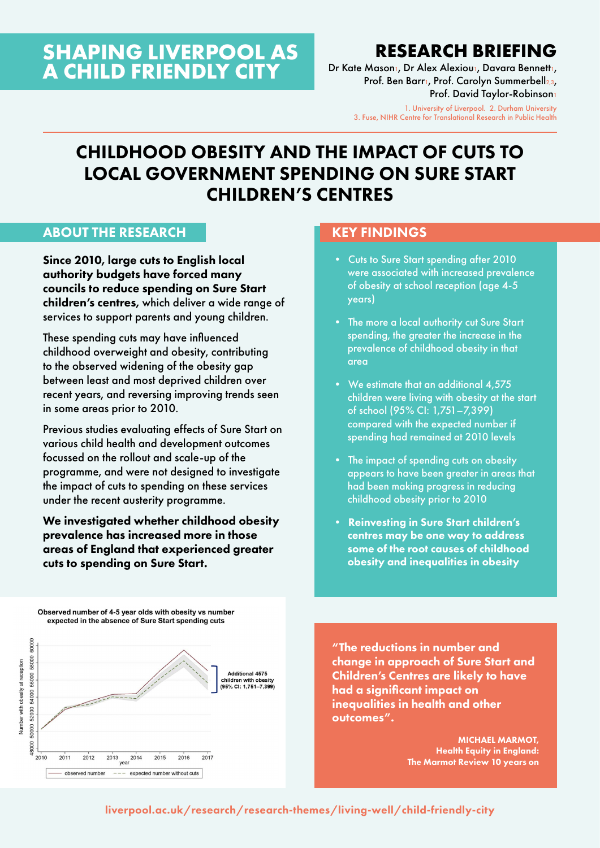# **SHAPING LIVERPOOL AS A CHILD FRIENDLY CITY**

# **RESEARCH BRIEFING**

Dr Kate Mason<sub>1</sub>, Dr Alex Alexiou<sub>1</sub>, Davara Bennett<sub>1</sub>, Prof. Ben Barr1, Prof. Carolyn Summerbell2,3, Prof. David Taylor-Robinson1

> 1. University of Liverpool. 2. Durham University 3. Fuse, NIHR Centre for Translational Research in Public Health

# CHILDHOOD OBESITY AND THE IMPACT OF CUTS TO LOCAL GOVERNMENT SPENDING ON SURE START CHILDREN'S CENTRES

#### ABOUT THE RESEARCH

Since 2010, large cuts to English local authority budgets have forced many councils to reduce spending on Sure Start children's centres, which deliver a wide range of services to support parents and young children.

These spending cuts may have influenced childhood overweight and obesity, contributing to the observed widening of the obesity gap between least and most deprived children over recent years, and reversing improving trends seen in some areas prior to 2010.

Previous studies evaluating effects of Sure Start on various child health and development outcomes focussed on the rollout and scale-up of the programme, and were not designed to investigate the impact of cuts to spending on these services under the recent austerity programme.

We investigated whether childhood obesity prevalence has increased more in those areas of England that experienced greater cuts to spending on Sure Start.

#### Observed number of 4-5 year olds with obesity ys number expected in the absence of Sure Start spending cuts



#### KEY FINDINGS

- Cuts to Sure Start spending after 2010 were associated with increased prevalence of obesity at school reception (age 4-5 years)
- The more a local authority cut Sure Start spending, the greater the increase in the prevalence of childhood obesity in that area
- We estimate that an additional 4,575 children were living with obesity at the start of school (95% CI: 1,751–7,399) compared with the expected number if spending had remained at 2010 levels
- The impact of spending cuts on obesity appears to have been greater in areas that had been making progress in reducing childhood obesity prior to 2010
- Reinvesting in Sure Start children's centres may be one way to address some of the root causes of childhood obesity and inequalities in obesity

"The reductions in number and change in approach of Sure Start and Children's Centres are likely to have had a significant impact on inequalities in health and other outcomes".

> MICHAEL MARMOT, Health Equity in England: The Marmot Review 10 years on

#### [liverpool.ac.uk/research/research-themes/living-well/child-friendly-city](http://www.liverpool.ac.uk/research/research-themes/living-well/child-friendly-city/)